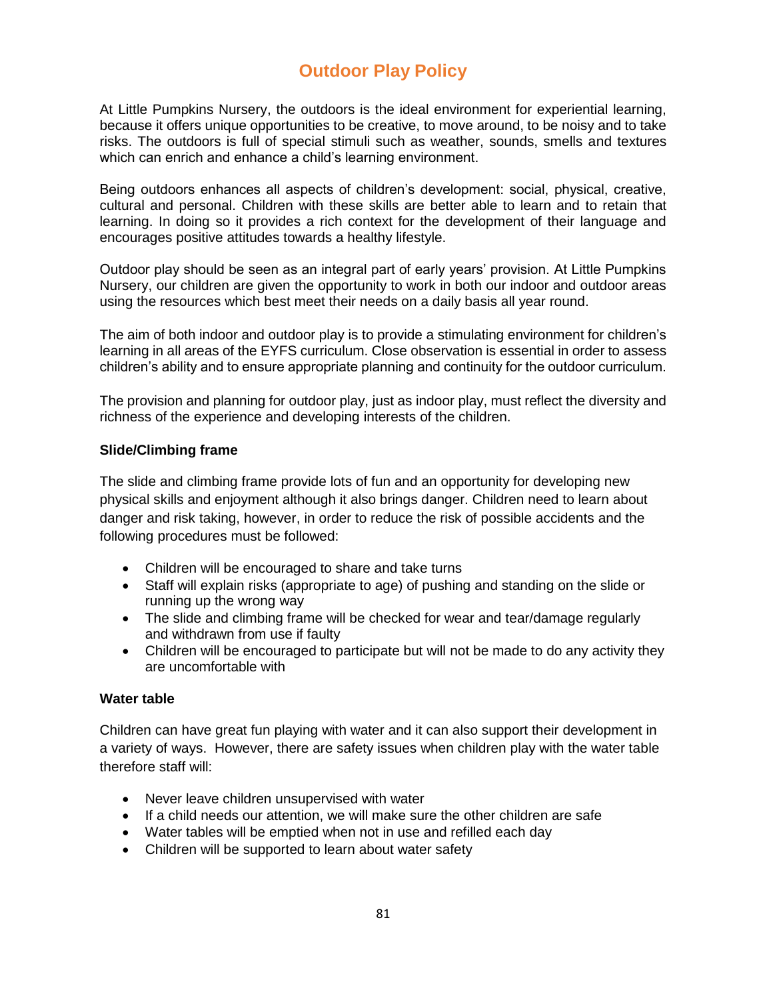# **Outdoor Play Policy**

At Little Pumpkins Nursery, the outdoors is the ideal environment for experiential learning, because it offers unique opportunities to be creative, to move around, to be noisy and to take risks. The outdoors is full of special stimuli such as weather, sounds, smells and textures which can enrich and enhance a child's learning environment.

Being outdoors enhances all aspects of children's development: social, physical, creative, cultural and personal. Children with these skills are better able to learn and to retain that learning. In doing so it provides a rich context for the development of their language and encourages positive attitudes towards a healthy lifestyle.

Outdoor play should be seen as an integral part of early years' provision. At Little Pumpkins Nursery, our children are given the opportunity to work in both our indoor and outdoor areas using the resources which best meet their needs on a daily basis all year round.

The aim of both indoor and outdoor play is to provide a stimulating environment for children's learning in all areas of the EYFS curriculum. Close observation is essential in order to assess children's ability and to ensure appropriate planning and continuity for the outdoor curriculum.

The provision and planning for outdoor play, just as indoor play, must reflect the diversity and richness of the experience and developing interests of the children.

### **Slide/Climbing frame**

The slide and climbing frame provide lots of fun and an opportunity for developing new physical skills and enjoyment although it also brings danger. Children need to learn about danger and risk taking, however, in order to reduce the risk of possible accidents and the following procedures must be followed:

- Children will be encouraged to share and take turns
- Staff will explain risks (appropriate to age) of pushing and standing on the slide or running up the wrong way
- The slide and climbing frame will be checked for wear and tear/damage regularly and withdrawn from use if faulty
- Children will be encouraged to participate but will not be made to do any activity they are uncomfortable with

### **Water table**

Children can have great fun playing with water and it can also support their development in a variety of ways. However, there are safety issues when children play with the water table therefore staff will:

- Never leave children unsupervised with water
- If a child needs our attention, we will make sure the other children are safe
- Water tables will be emptied when not in use and refilled each day
- Children will be supported to learn about water safety